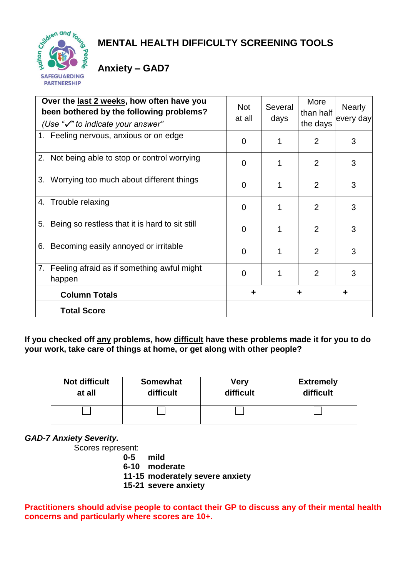

# **MENTAL HEALTH DIFFICULTY SCREENING TOOLS**

## **Anxiety – GAD7**

| Over the last 2 weeks, how often have you<br>been bothered by the following problems?<br>(Use " $\checkmark$ " to indicate your answer" | <b>Not</b><br>at all | Several<br>days | More<br>than half<br>the days | <b>Nearly</b><br>every day |
|-----------------------------------------------------------------------------------------------------------------------------------------|----------------------|-----------------|-------------------------------|----------------------------|
| 1. Feeling nervous, anxious or on edge                                                                                                  | 0                    |                 | $\overline{2}$                | 3                          |
| 2. Not being able to stop or control worrying                                                                                           | 0                    |                 | 2                             | 3                          |
| 3. Worrying too much about different things                                                                                             | 0                    |                 | 2                             | 3                          |
| 4. Trouble relaxing                                                                                                                     | 0                    |                 | $\overline{2}$                | 3                          |
| 5. Being so restless that it is hard to sit still                                                                                       | 0                    |                 | 2                             | 3                          |
| 6. Becoming easily annoyed or irritable                                                                                                 | $\Omega$             |                 | $\mathcal{P}$                 | 3                          |
| 7. Feeling afraid as if something awful might<br>happen                                                                                 | 0                    |                 | $\overline{2}$                | 3                          |
| <b>Column Totals</b>                                                                                                                    |                      |                 |                               | ٠                          |
| <b>Total Score</b>                                                                                                                      |                      |                 |                               |                            |

**If you checked off any problems, how difficult have these problems made it for you to do your work, take care of things at home, or get along with other people?**

| <b>Not difficult</b> | <b>Somewhat</b> | Very      | <b>Extremely</b> |
|----------------------|-----------------|-----------|------------------|
| at all               | difficult       | difficult | difficult        |
|                      |                 |           |                  |

*GAD-7 Anxiety Severity.* 

Scores represent:

- **0-5 mild 6-10 moderate** 
	-
	- **11-15 moderately severe anxiety**
	- **15-21 severe anxiety**

#### **Practitioners should advise people to contact their GP to discuss any of their mental health concerns and particularly where scores are 10+.**